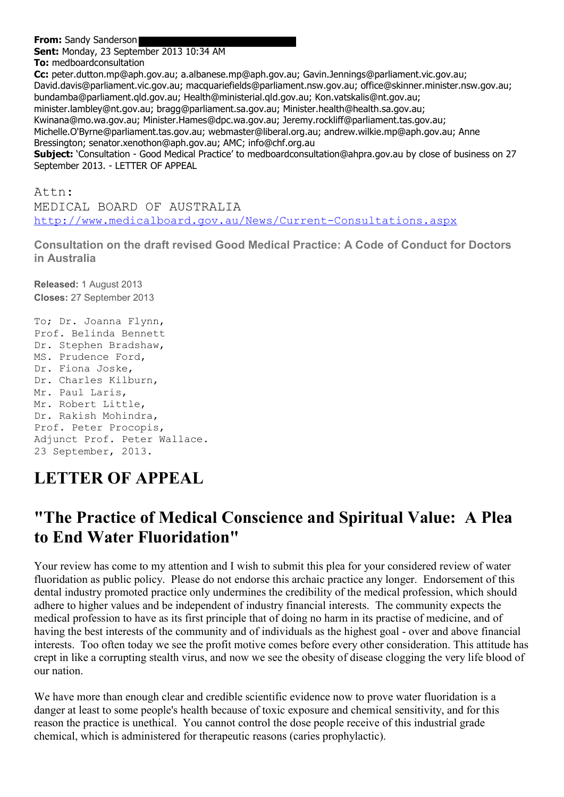**From:** Sandy Sanderson

**Sent:** Monday, 23 September 2013 10:34 AM

**To:** medboardconsultation **Cc:** peter.dutton.mp@aph.gov.au; a.albanese.mp@aph.gov.au; Gavin.Jennings@parliament.vic.gov.au; David.davis@parliament.vic.gov.au; macquariefields@parliament.nsw.gov.au; office@skinner.minister.nsw.gov.au; bundamba@parliament.qld.gov.au; Health@ministerial.qld.gov.au; Kon.vatskalis@nt.gov.au; minister.lambley@nt.gov.au; bragg@parliament.sa.gov.au; Minister.health@health.sa.gov.au; Kwinana@mo.wa.gov.au; Minister.Hames@dpc.wa.gov.au; Jeremy.rockliff@parliament.tas.gov.au; Michelle.O'Byrne@parliament.tas.gov.au; webmaster@liberal.org.au; andrew.wilkie.mp@aph.gov.au; Anne Bressington; senator.xenothon@aph.gov.au; AMC; info@chf.org.au **Subject:** 'Consultation - Good Medical Practice' to medboardconsultation@ahpra.gov.au by close of business on 27 September 2013. - LETTER OF APPEAL

Attn: MEDICAL BOARD OF AUSTRALIA <http://www.medicalboard.gov.au/News/Current-Consultations.aspx>

**Consultation on the draft revised Good Medical Practice: A Code of Conduct for Doctors in Australia**

**Released:** 1 August 2013 **Closes:** 27 September 2013

To; Dr. Joanna Flynn, Prof. Belinda Bennett Dr. Stephen Bradshaw, MS. Prudence Ford, Dr. Fiona Joske, Dr. Charles Kilburn, Mr. Paul Laris, Mr. Robert Little, Dr. Rakish Mohindra, Prof. Peter Procopis, Adjunct Prof. Peter Wallace. 23 September, 2013.

## **LETTER OF APPEAL**

## **"The Practice of Medical Conscience and Spiritual Value: A Plea to End Water Fluoridation"**

Your review has come to my attention and I wish to submit this plea for your considered review of water fluoridation as public policy. Please do not endorse this archaic practice any longer. Endorsement of this dental industry promoted practice only undermines the credibility of the medical profession, which should adhere to higher values and be independent of industry financial interests. The community expects the medical profession to have as its first principle that of doing no harm in its practise of medicine, and of having the best interests of the community and of individuals as the highest goal - over and above financial interests. Too often today we see the profit motive comes before every other consideration. This attitude has crept in like a corrupting stealth virus, and now we see the obesity of disease clogging the very life blood of our nation.

We have more than enough clear and credible scientific evidence now to prove water fluoridation is a danger at least to some people's health because of toxic exposure and chemical sensitivity, and for this reason the practice is unethical. You cannot control the dose people receive of this industrial grade chemical, which is administered for therapeutic reasons (caries prophylactic).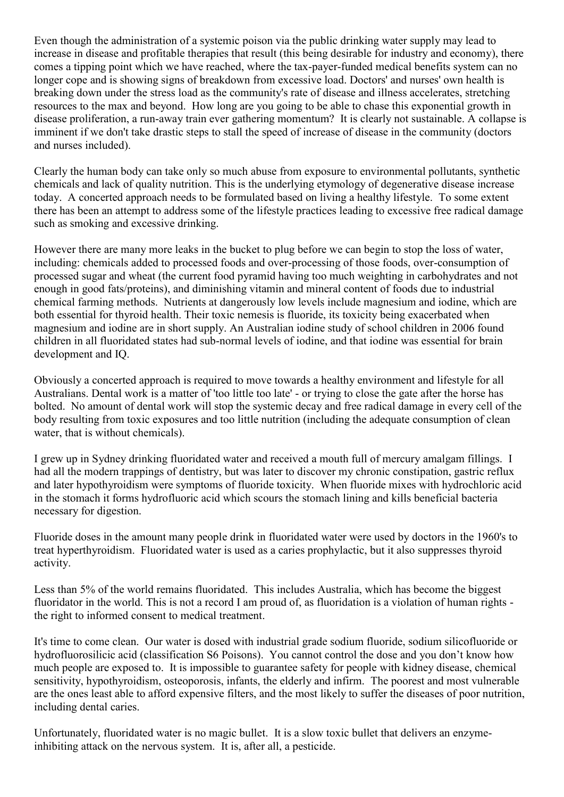Even though the administration of a systemic poison via the public drinking water supply may lead to increase in disease and profitable therapies that result (this being desirable for industry and economy), there comes a tipping point which we have reached, where the tax-payer-funded medical benefits system can no longer cope and is showing signs of breakdown from excessive load. Doctors' and nurses' own health is breaking down under the stress load as the community's rate of disease and illness accelerates, stretching resources to the max and beyond. How long are you going to be able to chase this exponential growth in disease proliferation, a run-away train ever gathering momentum? It is clearly not sustainable. A collapse is imminent if we don't take drastic steps to stall the speed of increase of disease in the community (doctors and nurses included).

Clearly the human body can take only so much abuse from exposure to environmental pollutants, synthetic chemicals and lack of quality nutrition. This is the underlying etymology of degenerative disease increase today. A concerted approach needs to be formulated based on living a healthy lifestyle. To some extent there has been an attempt to address some of the lifestyle practices leading to excessive free radical damage such as smoking and excessive drinking.

However there are many more leaks in the bucket to plug before we can begin to stop the loss of water, including: chemicals added to processed foods and over-processing of those foods, over-consumption of processed sugar and wheat (the current food pyramid having too much weighting in carbohydrates and not enough in good fats/proteins), and diminishing vitamin and mineral content of foods due to industrial chemical farming methods. Nutrients at dangerously low levels include magnesium and iodine, which are both essential for thyroid health. Their toxic nemesis is fluoride, its toxicity being exacerbated when magnesium and iodine are in short supply. An Australian iodine study of school children in 2006 found children in all fluoridated states had sub-normal levels of iodine, and that iodine was essential for brain development and IQ.

Obviously a concerted approach is required to move towards a healthy environment and lifestyle for all Australians. Dental work is a matter of 'too little too late' - or trying to close the gate after the horse has bolted. No amount of dental work will stop the systemic decay and free radical damage in every cell of the body resulting from toxic exposures and too little nutrition (including the adequate consumption of clean water, that is without chemicals).

I grew up in Sydney drinking fluoridated water and received a mouth full of mercury amalgam fillings. I had all the modern trappings of dentistry, but was later to discover my chronic constipation, gastric reflux and later hypothyroidism were symptoms of fluoride toxicity. When fluoride mixes with hydrochloric acid in the stomach it forms hydrofluoric acid which scours the stomach lining and kills beneficial bacteria necessary for digestion.

Fluoride doses in the amount many people drink in fluoridated water were used by doctors in the 1960's to treat hyperthyroidism. Fluoridated water is used as a caries prophylactic, but it also suppresses thyroid activity.

Less than 5% of the world remains fluoridated. This includes Australia, which has become the biggest fluoridator in the world. This is not a record I am proud of, as fluoridation is a violation of human rights the right to informed consent to medical treatment.

It's time to come clean. Our water is dosed with industrial grade sodium fluoride, sodium silicofluoride or hydrofluorosilicic acid (classification S6 Poisons). You cannot control the dose and you don't know how much people are exposed to. It is impossible to guarantee safety for people with kidney disease, chemical sensitivity, hypothyroidism, osteoporosis, infants, the elderly and infirm. The poorest and most vulnerable are the ones least able to afford expensive filters, and the most likely to suffer the diseases of poor nutrition, including dental caries.

Unfortunately, fluoridated water is no magic bullet. It is a slow toxic bullet that delivers an enzymeinhibiting attack on the nervous system. It is, after all, a pesticide.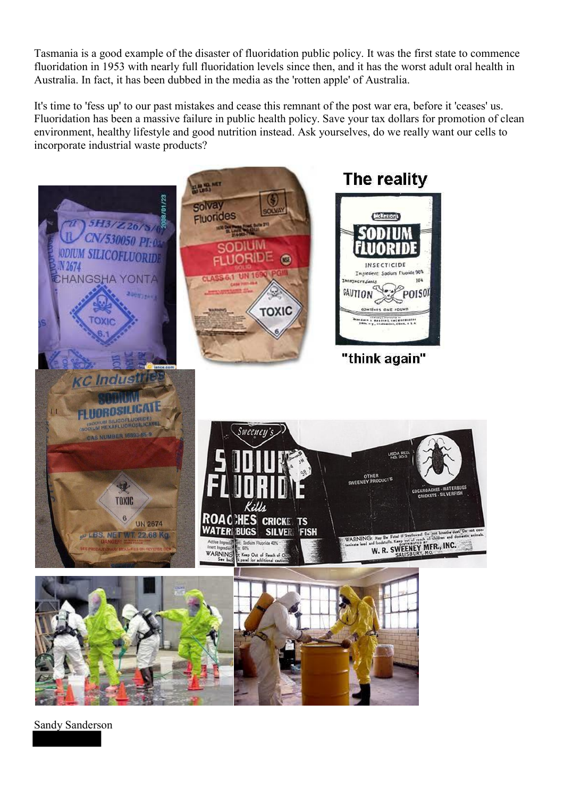Tasmania is a good example of the disaster of fluoridation public policy. It was the first state to commence fluoridation in 1953 with nearly full fluoridation levels since then, and it has the worst adult oral health in Australia. In fact, it has been dubbed in the media as the 'rotten apple' of Australia.

It's time to 'fess up' to our past mistakes and cease this remnant of the post war era, before it 'ceases' us. Fluoridation has been a massive failure in public health policy. Save your tax dollars for promotion of clean environment, healthy lifestyle and good nutrition instead. Ask yourselves, do we really want our cells to incorporate industrial waste products?



Sandy Sanderson